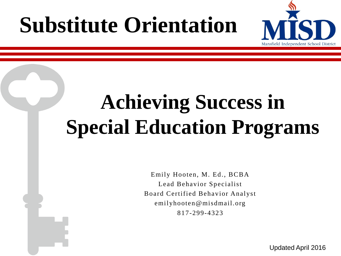# **Substitute Orientation**



# **Achieving Success in Special Education Programs**

Emily Hooten, M. Ed., BCBA Lead Behavior Specialist Board Certified Behavior Analyst emilyhooten@misdmail.org 817-299-4323

Updated April 2016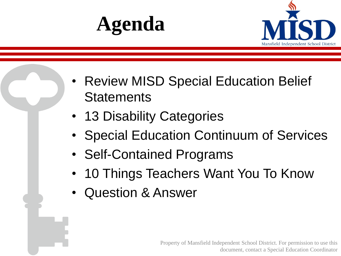



- Review MISD Special Education Belief **Statements**
- 13 Disability Categories
- Special Education Continuum of Services
- Self-Contained Programs
- 10 Things Teachers Want You To Know
- Question & Answer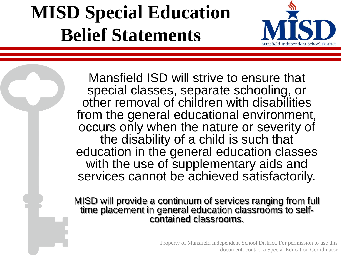#### **MISD Special Education Belief Statements**



Mansfield ISD will strive to ensure that special classes, separate schooling, or other removal of children with disabilities from the general educational environment, occurs only when the nature or severity of the disability of a child is such that education in the general education classes with the use of supplementary aids and services cannot be achieved satisfactorily.

MISD will provide a continuum of services ranging from full time placement in general education classrooms to selfcontained classrooms.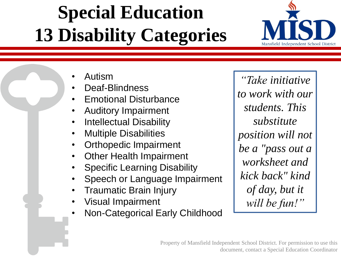## **Special Education 13 Disability Categories**



• Autism

- Deaf-Blindness
- Emotional Disturbance
- Auditory Impairment
- Intellectual Disability
- Multiple Disabilities
- Orthopedic Impairment
- **Other Health Impairment**
- Specific Learning Disability
- Speech or Language Impairment
- Traumatic Brain Injury
- Visual Impairment
- Non-Categorical Early Childhood

*"Take initiative to work with our students. This substitute position will not be a "pass out a worksheet and kick back" kind of day, but it will be fun!"*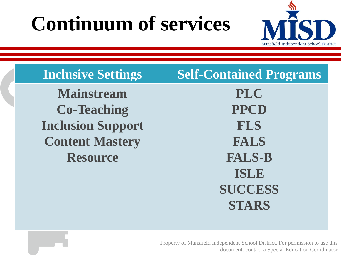#### **Continuum of services**



| <b>Inclusive Settings</b> | <b>Self-Contained Programs</b> |
|---------------------------|--------------------------------|
| <b>Mainstream</b>         | <b>PLC</b>                     |
| <b>Co-Teaching</b>        | <b>PPCD</b>                    |
| <b>Inclusion Support</b>  | <b>FLS</b>                     |
| <b>Content Mastery</b>    | <b>FALS</b>                    |
| <b>Resource</b>           | <b>FALS-B</b>                  |
|                           | <b>ISLE</b>                    |
|                           | <b>SUCCESS</b>                 |
|                           | <b>STARS</b>                   |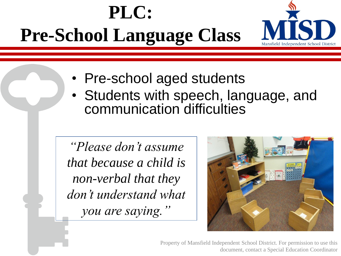



- Pre-school aged students
- Students with speech, language, and communication difficulties

*"Please don't assume that because a child is non-verbal that they don't understand what you are saying."*

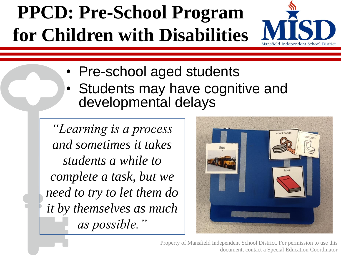#### **PPCD: Pre-School Program for Children with Disabilities**



• Pre-school aged students

• Students may have cognitive and developmental delays

*"Learning is a process and sometimes it takes students a while to complete a task, but we need to try to let them do it by themselves as much as possible."*

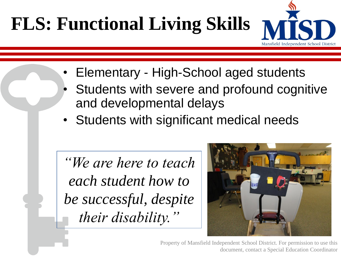## **FLS: Functional Living Skills**

![](_page_7_Picture_1.jpeg)

- Elementary High-School aged students
- Students with severe and profound cognitive and developmental delays
- Students with significant medical needs

*"We are here to teach each student how to be successful, despite their disability."*

![](_page_7_Picture_6.jpeg)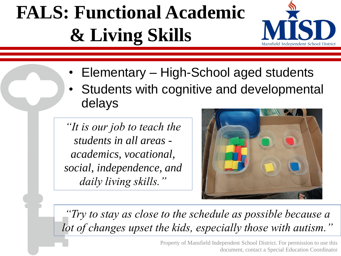## **FALS: Functional Academic & Living Skills**

![](_page_8_Picture_1.jpeg)

- Elementary High-School aged students
- Students with cognitive and developmental delays

*"It is our job to teach the students in all areas academics, vocational, social, independence, and daily living skills."*

![](_page_8_Picture_5.jpeg)

*"Try to stay as close to the schedule as possible because a lot of changes upset the kids, especially those with autism."*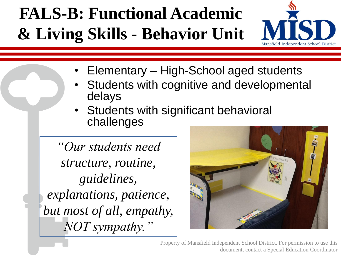#### **FALS-B: Functional Academic & Living Skills - Behavior Unit**

![](_page_9_Picture_1.jpeg)

- Elementary High-School aged students
- Students with cognitive and developmental delays
- Students with significant behavioral challenges

*"Our students need structure, routine, guidelines, explanations, patience, but most of all, empathy, NOT sympathy."*

![](_page_9_Picture_6.jpeg)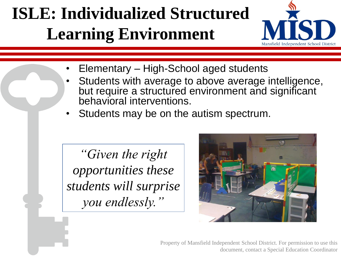#### **ISLE: Individualized Structured Learning Environment**

![](_page_10_Picture_1.jpeg)

- Elementary High-School aged students
- Students with average to above average intelligence, but require a structured environment and significant behavioral interventions.
- Students may be on the autism spectrum.

*"Given the right opportunities these students will surprise you endlessly."*

![](_page_10_Picture_6.jpeg)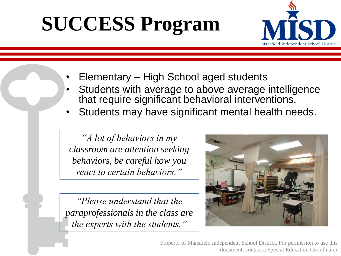# **SUCCESS Program**

![](_page_11_Picture_1.jpeg)

- Elementary High School aged students
- Students with average to above average intelligence that require significant behavioral interventions.
- Students may have significant mental health needs.

*"A lot of behaviors in my classroom are attention seeking behaviors, be careful how you react to certain behaviors."*

*"Please understand that the paraprofessionals in the class are the experts with the students."*

![](_page_11_Picture_7.jpeg)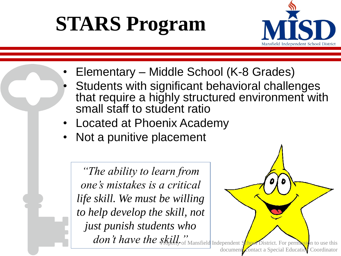# **STARS Program**

![](_page_12_Picture_1.jpeg)

- Elementary Middle School (K-8 Grades)
- Students with significant behavioral challenges that require a highly structured environment with small staff to student ratio
- Located at Phoenix Academy
- Not a punitive placement

*"The ability to learn from one's mistakes is a critical life skill. We must be willing to help develop the skill, not just punish students who* 

![](_page_12_Picture_7.jpeg)